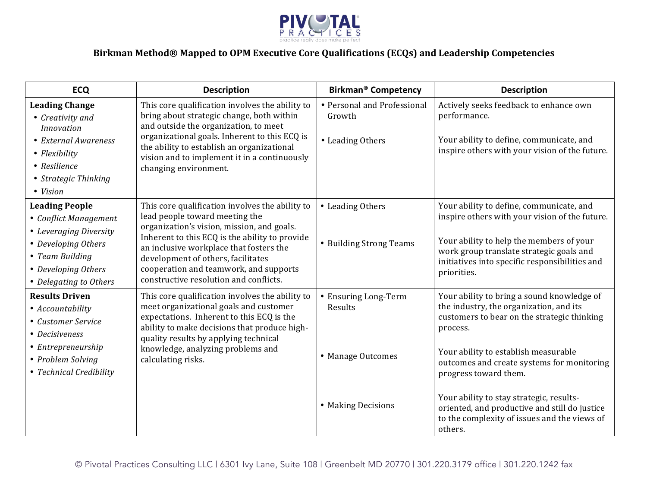

## Birkman Method® Mapped to OPM Executive Core Qualifications (ECQs) and Leadership Competencies

| <b>ECQ</b>                                                                                                                                                          | <b>Description</b>                                                                                                                                                                                                                                                                                                                                     | <b>Birkman<sup>®</sup> Competency</b>                                      | <b>Description</b>                                                                                                                                                                                                                                                                                                                                                                                           |
|---------------------------------------------------------------------------------------------------------------------------------------------------------------------|--------------------------------------------------------------------------------------------------------------------------------------------------------------------------------------------------------------------------------------------------------------------------------------------------------------------------------------------------------|----------------------------------------------------------------------------|--------------------------------------------------------------------------------------------------------------------------------------------------------------------------------------------------------------------------------------------------------------------------------------------------------------------------------------------------------------------------------------------------------------|
| <b>Leading Change</b><br>• Creativity and<br><b>Innovation</b><br>• External Awareness<br>• Flexibility<br>• Resilience<br>• Strategic Thinking<br>• Vision         | This core qualification involves the ability to<br>bring about strategic change, both within<br>and outside the organization, to meet<br>organizational goals. Inherent to this ECQ is<br>the ability to establish an organizational<br>vision and to implement it in a continuously<br>changing environment.                                          | • Personal and Professional<br>Growth<br>• Leading Others                  | Actively seeks feedback to enhance own<br>performance.<br>Your ability to define, communicate, and<br>inspire others with your vision of the future.                                                                                                                                                                                                                                                         |
| <b>Leading People</b><br>• Conflict Management<br>• Leveraging Diversity<br>• Developing Others<br>• Team Building<br>• Developing Others<br>• Delegating to Others | This core qualification involves the ability to<br>lead people toward meeting the<br>organization's vision, mission, and goals.<br>Inherent to this ECQ is the ability to provide<br>an inclusive workplace that fosters the<br>development of others, facilitates<br>cooperation and teamwork, and supports<br>constructive resolution and conflicts. | • Leading Others<br>• Building Strong Teams                                | Your ability to define, communicate, and<br>inspire others with your vision of the future.<br>Your ability to help the members of your<br>work group translate strategic goals and<br>initiatives into specific responsibilities and<br>priorities.                                                                                                                                                          |
| <b>Results Driven</b><br>• Accountability<br>• Customer Service<br>• Decisiveness<br>• Entrepreneurship<br>• Problem Solving<br>• Technical Credibility             | This core qualification involves the ability to<br>meet organizational goals and customer<br>expectations. Inherent to this ECQ is the<br>ability to make decisions that produce high-<br>quality results by applying technical<br>knowledge, analyzing problems and<br>calculating risks.                                                             | • Ensuring Long-Term<br>Results<br>• Manage Outcomes<br>• Making Decisions | Your ability to bring a sound knowledge of<br>the industry, the organization, and its<br>customers to bear on the strategic thinking<br>process.<br>Your ability to establish measurable<br>outcomes and create systems for monitoring<br>progress toward them.<br>Your ability to stay strategic, results-<br>oriented, and productive and still do justice<br>to the complexity of issues and the views of |